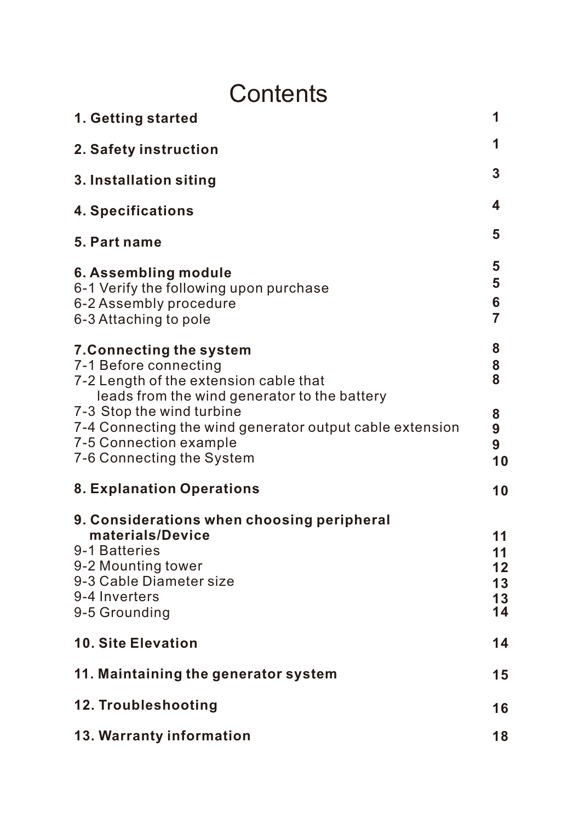# **Contents**

| 1. Getting started                                                                                                                                                 | 1                                |
|--------------------------------------------------------------------------------------------------------------------------------------------------------------------|----------------------------------|
| 2. Safety instruction                                                                                                                                              | 1                                |
| 3. Installation siting                                                                                                                                             | 3                                |
| 4. Specifications                                                                                                                                                  | 4                                |
| 5. Part name                                                                                                                                                       | 5                                |
| 6. Assembling module<br>6-1 Verify the following upon purchase<br>6-2 Assembly procedure<br>6-3 Attaching to pole                                                  | 5<br>5<br>6<br>$\overline{7}$    |
| 7. Connecting the system<br>7-1 Before connecting<br>7-2 Length of the extension cable that<br>leads from the wind generator to the battery                        | 8<br>8<br>8                      |
| 7-3 Stop the wind turbine<br>7-4 Connecting the wind generator output cable extension<br>7-5 Connection example<br>7-6 Connecting the System                       | 8<br>9<br>9<br>10                |
| 8. Explanation Operations                                                                                                                                          | 10                               |
| 9. Considerations when choosing peripheral<br>materials/Device<br>9-1 Batteries<br>9-2 Mounting tower<br>9-3 Cable Diameter size<br>9-4 Inverters<br>9-5 Grounding | 11<br>11<br>12<br>13<br>13<br>14 |
| 10. Site Elevation                                                                                                                                                 | 14                               |
| 11. Maintaining the generator system                                                                                                                               | 15                               |
| 12. Troubleshooting                                                                                                                                                | 16                               |
| 13. Warranty information                                                                                                                                           | 18                               |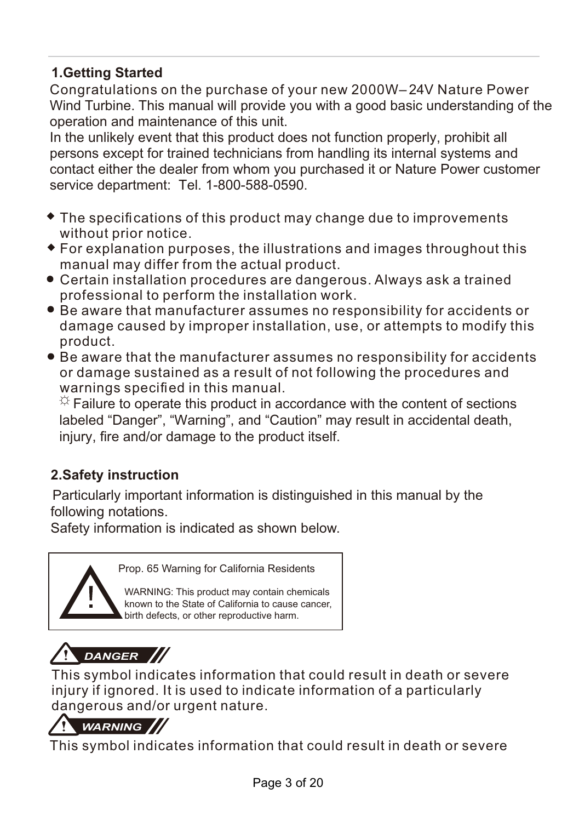### **1.Getting Started**

Congratulations on the purchase of your new 2000W–24V Nature Power Wind Turbine. This manual will provide you with a good basic understanding of the operation and maintenance of this unit.

In the unlikely event that this product does not function properly, prohibit all persons except for trained technicians from handling its internal systems and contact either the dealer from whom you purchased it or Nature Power customer service department: Tel. 1-800-588-0590.

- $\bullet$  The specifications of this product may change due to improvements without prior notice.
- For explanation purposes, the illustrations and images throughout this manual may differ from the actual product.
- Certain installation procedures are dangerous. Always ask a trained professional to perform the installation work.
- Be aware that manufacturer assumes no responsibility for accidents or damage caused by improper installation, use, or attempts to modify this product.
- Be aware that the manufacturer assumes no responsibility for accidents or damage sustained as a result of not following the procedures and warnings specified in this manual.

 $\ddot{\varphi}$  Failure to operate this product in accordance with the content of sections labeled "Danger", "Warning", and "Caution" may result in accidental death, injury, fire and/or damage to the product itself.

### **2.Safety instruction**

Particularly important information is distinguished in this manual by the following notations.

Safety information is indicated as shown below.



Prop. 65 Warning for California Residents

WARNING: This product may contain chemicals known to the State of California to cause cancer, birth defects, or other reproductive harm.



This symbol indicates information that could result in death or severe injury if ignored. It is used to indicate information of a particularly dangerous and/or urgent nature.



This symbol indicates information that could result in death or severe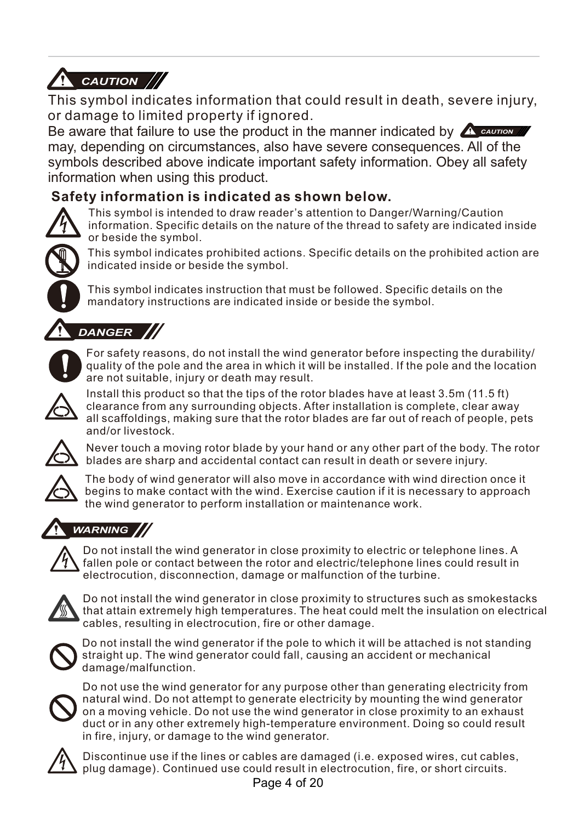

This symbol indicates information that could result in death, severe injury, or damage to limited property if ignored.

Be aware that failure to use the product in the manner indicated by **A caution** may, depending on circumstances, also have severe consequences. All of the symbols described above indicate important safety information. Obey all safety information when using this product.

#### **Safety information is indicated as shown below.**



This symbol is intended to draw reader's attention to Danger/Warning/Caution information. Specific details on the nature of the thread to safety are indicated inside or beside the symbol.



This symbol indicates prohibited actions. Specific details on the prohibited action are indicated inside or beside the symbol.

This symbol indicates instruction that must be followed. Specific details on the mandatory instructions are indicated inside or beside the symbol.



# *DANGER*



For safety reasons, do not install the wind generator before inspecting the durability/ quality of the pole and the area in which it will be installed. If the pole and the location are not suitable, injury or death may result.



Install this product so that the tips of the rotor blades have at least 3.5m (11.5 ft) clearance from any surrounding objects. After installation is complete, clear away all scaffoldings, making sure that the rotor blades are far out of reach of people, pets and/or livestock.



Never touch a moving rotor blade by your hand or any other part of the body. The rotor blades are sharp and accidental contact can result in death or severe injury.



The body of wind generator will also move in accordance with wind direction once it begins to make contact with the wind. Exercise caution if it is necessary to approach the wind generator to perform installation or maintenance work.

### *WARNING*



Do not install the wind generator in close proximity to electric or telephone lines. A fallen pole or contact between the rotor and electric/telephone lines could result in electrocution, disconnection, damage or malfunction of the turbine.



Do not install the wind generator in close proximity to structures such as smokestacks that attain extremely high temperatures. The heat could melt the insulation on electrical cables, resulting in electrocution, fire or other damage.



Do not install the wind generator if the pole to which it will be attached is not standing straight up. The wind generator could fall, causing an accident or mechanical damage/malfunction.



Do not use the wind generator for any purpose other than generating electricity from natural wind. Do not attempt to generate electricity by mounting the wind generator on a moving vehicle. Do not use the wind generator in close proximity to an exhaust duct or in any other extremely high-temperature environment. Doing so could result in fire, injury, or damage to the wind generator.



Discontinue use if the lines or cables are damaged (i.e. exposed wires, cut cables, plug damage). Continued use could result in electrocution, fire, or short circuits.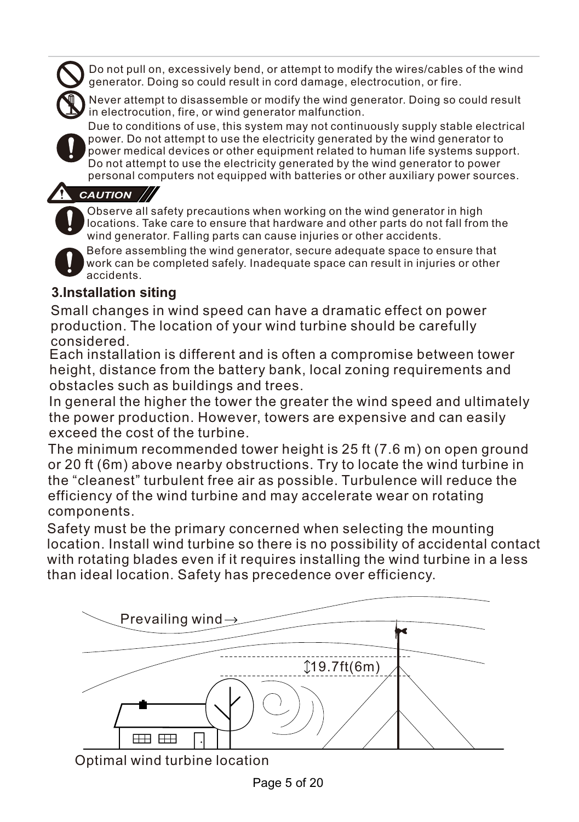Do not pull on, excessively bend, or attempt to modify the wires/cables of the wind generator. Doing so could result in cord damage, electrocution, or fire.



Never attempt to disassemble or modify the wind generator. Doing so could result in electrocution, fire, or wind generator malfunction.

Due to conditions of use, this system may not continuously supply stable electrical power. Do not attempt to use the electricity generated by the wind generator to power medical devices or other equipment related to human life systems support. Do not attempt to use the electricity generated by the wind generator to power personal computers not equipped with batteries or other auxiliary power sources.

### *CAUTION*

Observe all safety precautions when working on the wind generator in high locations. Take care to ensure that hardware and other parts do not fall from the wind generator. Falling parts can cause injuries or other accidents.



Before assembling the wind generator, secure adequate space to ensure that work can be completed safely. Inadequate space can result in injuries or other accidents.

### **3.Installation siting**

Small changes in wind speed can have a dramatic effect on power production. The location of your wind turbine should be carefully considered.

Each installation is different and is often a compromise between tower height, distance from the battery bank, local zoning requirements and obstacles such as buildings and trees.

In general the higher the tower the greater the wind speed and ultimately the power production. However, towers are expensive and can easily exceed the cost of the turbine.

The minimum recommended tower height is 25 ft (7.6 m) on open ground or 20 ft (6m) above nearby obstructions. Try to locate the wind turbine in the "cleanest" turbulent free air as possible. Turbulence will reduce the efficiency of the wind turbine and may accelerate wear on rotating components.

Safety must be the primary concerned when selecting the mounting location. Install wind turbine so there is no possibility of accidental contact with rotating blades even if it requires installing the wind turbine in a less than ideal location. Safety has precedence over efficiency.



Optimal wind turbine location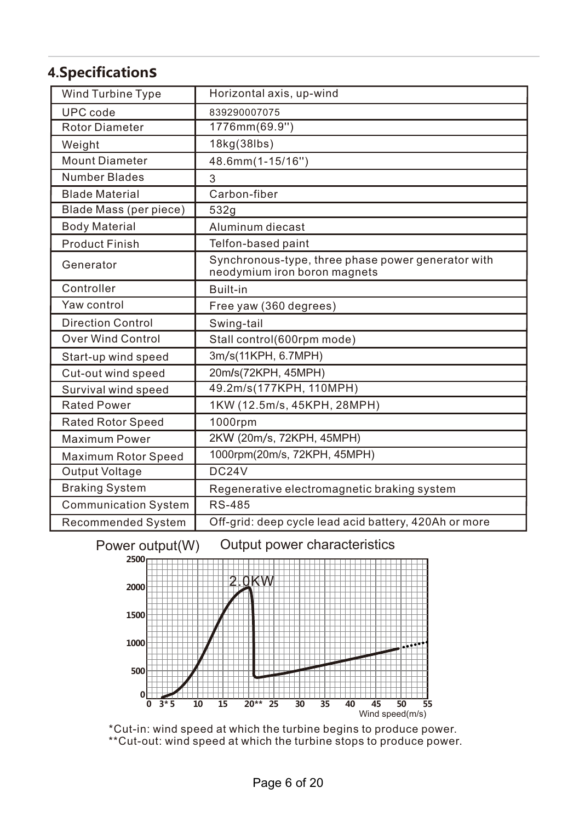### **4.Specifications**

| Wind Turbine Type           | Horizontal axis, up-wind                                                           |
|-----------------------------|------------------------------------------------------------------------------------|
| UPC code                    | 839290007075                                                                       |
| <b>Rotor Diameter</b>       | 1776mm(69.9")                                                                      |
| Weight                      | 18kg(38lbs)                                                                        |
| <b>Mount Diameter</b>       | 48.6mm(1-15/16")                                                                   |
| Number Blades               | 3                                                                                  |
| <b>Blade Material</b>       | Carbon-fiber                                                                       |
| Blade Mass (per piece)      | 532g                                                                               |
| <b>Body Material</b>        | Aluminum diecast                                                                   |
| <b>Product Finish</b>       | Telfon-based paint                                                                 |
| Generator                   | Synchronous-type, three phase power generator with<br>neodymium iron boron magnets |
| Controller                  | Built-in                                                                           |
| Yaw control                 | Free yaw (360 degrees)                                                             |
| <b>Direction Control</b>    | Swing-tail                                                                         |
| <b>Over Wind Control</b>    | Stall control(600rpm mode)                                                         |
| Start-up wind speed         | 3m/s(11KPH, 6.7MPH)                                                                |
| Cut-out wind speed          | 20m/s(72KPH, 45MPH)                                                                |
| Survival wind speed         | 49.2m/s(177KPH, 110MPH)                                                            |
| <b>Rated Power</b>          | 1KW (12.5m/s, 45KPH, 28MPH)                                                        |
| <b>Rated Rotor Speed</b>    | 1000rpm                                                                            |
| Maximum Power               | 2KW (20m/s, 72KPH, 45MPH)                                                          |
| Maximum Rotor Speed         | 1000rpm(20m/s, 72KPH, 45MPH)                                                       |
| Output Voltage              | DC24V                                                                              |
| <b>Braking System</b>       | Regenerative electromagnetic braking system                                        |
| <b>Communication System</b> | RS-485                                                                             |
| Recommended System          | Off-grid: deep cycle lead acid battery, 420Ah or more                              |

#### Power output(W) Output power characteristics



\*Cut-in: wind speed at which the turbine begins to produce power. \*\*Cut-out: wind speed at which the turbine stops to produce power.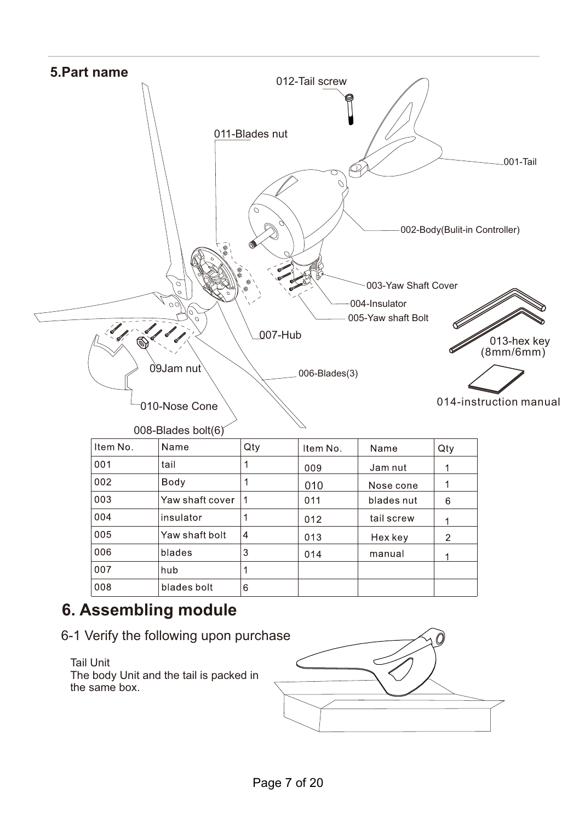

## **6. Assembling module**

6-1 Verify the following upon purchase

#### Tail Unit

The body Unit and the tail is packed in the same box.

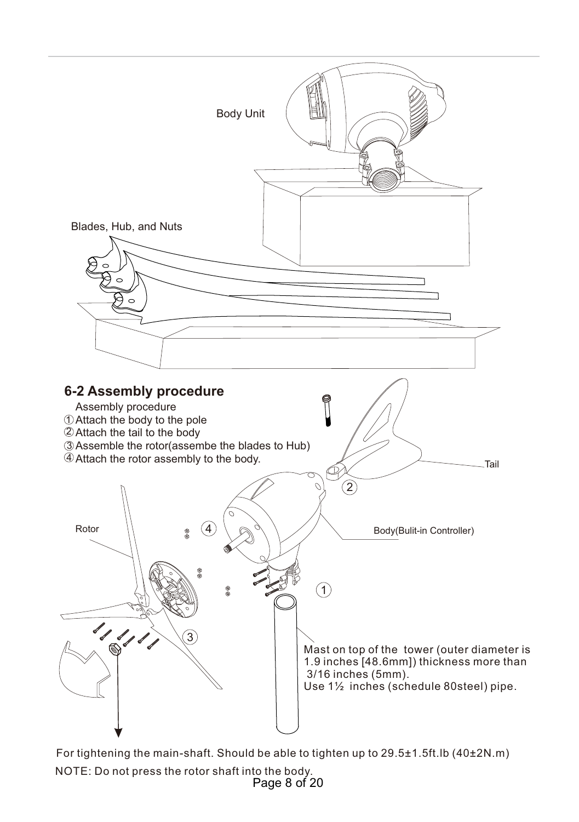

For tightening the main-shaft. Should be able to tighten up to 29.5±1.5ft.lb (40±2N.m) NOTE: Do not press the rotor shaft into the body. Page 8 of 20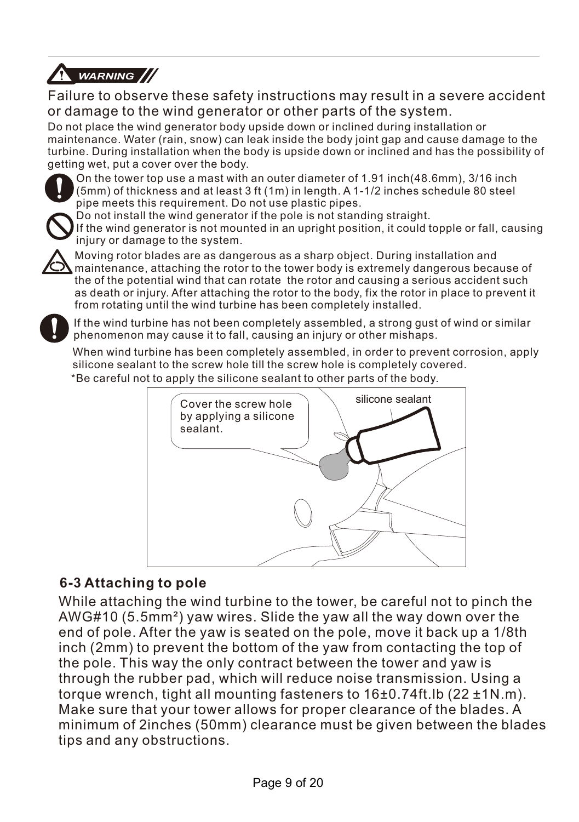

Failure to observe these safety instructions may result in a severe accident or damage to the wind generator or other parts of the system.

Do not place the wind generator body upside down or inclined during installation or maintenance. Water (rain, snow) can leak inside the body joint gap and cause damage to the turbine. During installation when the body is upside down or inclined and has the possibility of getting wet, put a cover over the body.



On the tower top use a mast with an outer diameter of 1.91 inch(48.6mm), 3/16 inch (5mm) of thickness and at least 3 ft (1m) in length. A 1-1/2 inches schedule 80 steel pipe meets this requirement. Do not use plastic pipes.



Do not install the wind generator if the pole is not standing straight. If the wind generator is not mounted in an upright position, it could topple or fall, causing iniury or damage to the system.



Moving rotor blades are as dangerous as a sharp object. During installation and maintenance, attaching the rotor to the tower body is extremely dangerous because of the of the potential wind that can rotate the rotor and causing a serious accident such as death or injury. After attaching the rotor to the body, fix the rotor in place to prevent it from rotating until the wind turbine has been completely installed.

If the wind turbine has not been completely assembled, a strong gust of wind or similar phenomenon may cause it to fall, causing an injury or other mishaps.

When wind turbine has been completely assembled, in order to prevent corrosion, apply silicone sealant to the screw hole till the screw hole is completely covered. \*Be careful not to apply the silicone sealant to other parts of the body.



### **6-3 Attaching to pole**

While attaching the wind turbine to the tower, be careful not to pinch the AWG#10 (5.5mm²) yaw wires. Slide the yaw all the way down over the end of pole. After the yaw is seated on the pole, move it back up a 1/8th inch (2mm) to prevent the bottom of the yaw from contacting the top of the pole. This way the only contract between the tower and yaw is through the rubber pad, which will reduce noise transmission. Using a torque wrench, tight all mounting fasteners to 16±0.74ft.lb (22 ±1N.m). Make sure that your tower allows for proper clearance of the blades. A minimum of 2inches (50mm) clearance must be given between the blades tips and any obstructions.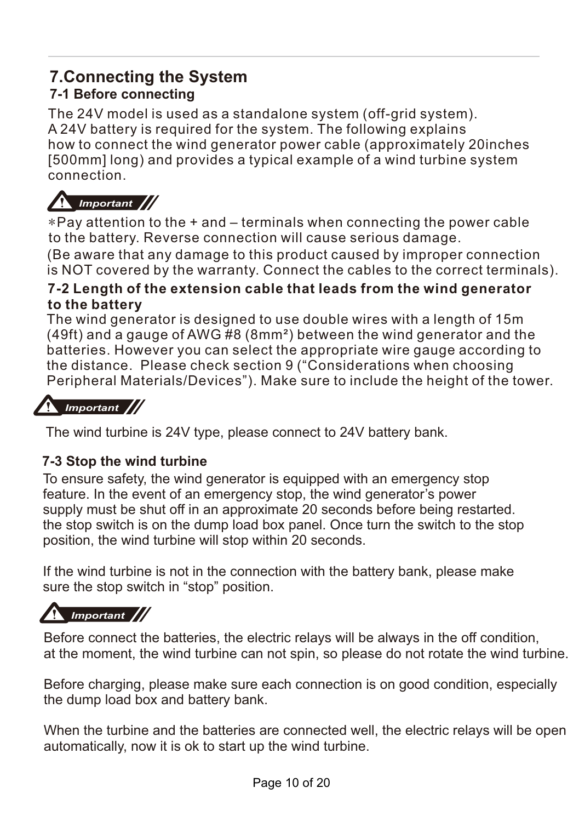## **7.Connecting the System**

### **7-1 Before connecting**

The 24V model is used as a standalone system (off-grid system). A 24V battery is required for the system. The following explains how to connect the wind generator power cable (approximately 20inches [500mm] long) and provides a typical example of a wind turbine system connection.

## *Important*

\*Pay attention to the + and – terminals when connecting the power cable to the battery. Reverse connection will cause serious damage. (Be aware that any damage to this product caused by improper connection is NOT covered by the warranty. Connect the cables to the correct terminals).

#### **7-2 Length of the extension cable that leads from the wind generator to the battery**

The wind generator is designed to use double wires with a length of 15m (49ft) and a gauge of AWG #8 (8mm²) between the wind generator and the batteries. However you can select the appropriate wire gauge according to the distance. Please check section 9 ("Considerations when choosing Peripheral Materials/Devices"). Make sure to include the height of the tower.

## *Important*

The wind turbine is 24V type, please connect to 24V battery bank.

### **7-3 Stop the wind turbine**

To ensure safety, the wind generator is equipped with an emergency stop feature. In the event of an emergency stop, the wind generator's power supply must be shut off in an approximate 20 seconds before being restarted. the stop switch is on the dump load box panel. Once turn the switch to the stop position, the wind turbine will stop within 20 seconds.

If the wind turbine is not in the connection with the battery bank, please make sure the stop switch in "stop" position.

# *Important*

Before connect the batteries, the electric relays will be always in the off condition, at the moment, the wind turbine can not spin, so please do not rotate the wind turbine.

Before charging, please make sure each connection is on good condition, especially the dump load box and battery bank.

When the turbine and the batteries are connected well, the electric relays will be open automatically, now it is ok to start up the wind turbine.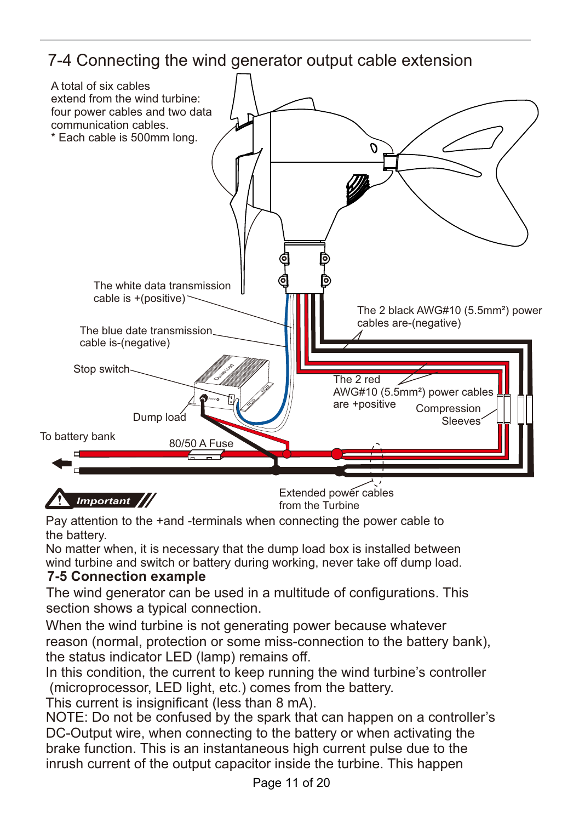## 7-4 Connecting the wind generator output cable extension



Pay attention to the +and -terminals when connecting the power cable to the battery.

No matter when, it is necessary that the dump load box is installed between wind turbine and switch or battery during working, never take off dump load.

### **7-5 Connection example**

The wind generator can be used in a multitude of configurations. This section shows a typical connection.

When the wind turbine is not generating power because whatever reason (normal, protection or some miss-connection to the battery bank), the status indicator LED (lamp) remains off.

In this condition, the current to keep running the wind turbine's controller (microprocessor, LED light, etc.) comes from the battery.

This current is insignificant (less than 8 mA).

NOTE: Do not be confused by the spark that can happen on a controller's DC-Output wire, when connecting to the battery or when activating the brake function. This is an instantaneous high current pulse due to the inrush current of the output capacitor inside the turbine. This happen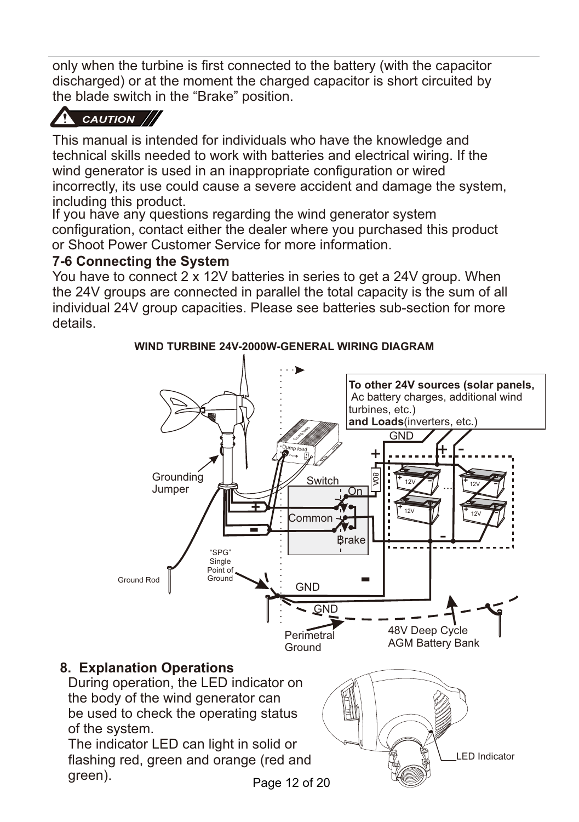only when the turbine is first connected to the battery (with the capacitor discharged) or at the moment the charged capacitor is short circuited by the blade switch in the "Brake" position.

## *CAUTION*

This manual is intended for individuals who have the knowledge and technical skills needed to work with batteries and electrical wiring. If the wind generator is used in an inappropriate configuration or wired incorrectly, its use could cause a severe accident and damage the system, including this product.

If you have any questions regarding the wind generator system configuration, contact either the dealer where you purchased this product or Shoot Power Customer Service for more information.

### **7-6 Connecting the System**

You have to connect 2 x 12V batteries in series to get a 24V group. When the 24V groups are connected in parallel the total capacity is the sum of all individual 24V group capacities. Please see batteries sub-section for more details.



**WIND TURBINE 24V-2000W-GENERAL WIRING DIAGRAM**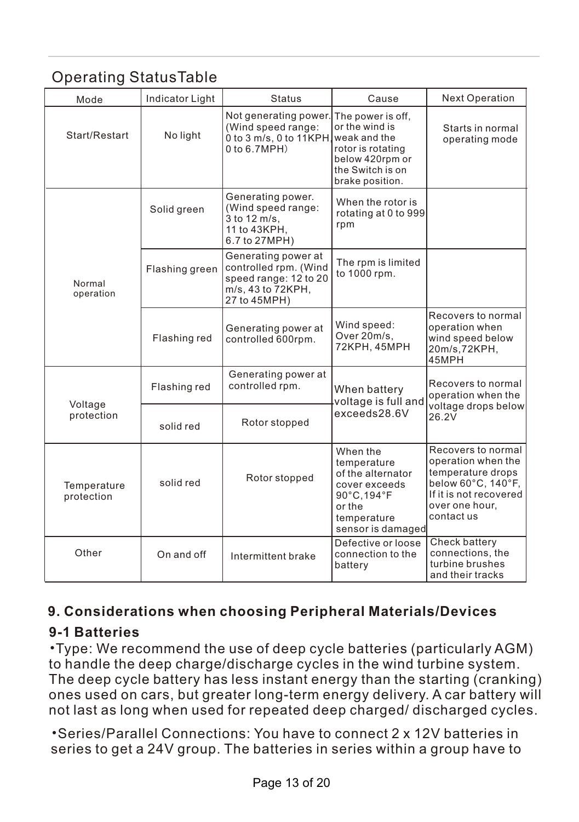## Operating StatusTable

| Mode                      | Indicator Light | <b>Status</b>                                                                                              | Cause                                                                                                                              | <b>Next Operation</b>                                                                                                                         |
|---------------------------|-----------------|------------------------------------------------------------------------------------------------------------|------------------------------------------------------------------------------------------------------------------------------------|-----------------------------------------------------------------------------------------------------------------------------------------------|
| Start/Restart             | No light        | Not generating power.<br>(Wind speed range:<br>0 to 3 m/s, 0 to 11KPH.<br>$0$ to $6.7MPH$ )                | The power is off.<br>or the wind is<br>weak and the<br>rotor is rotating<br>below 420rpm or<br>the Switch is on<br>brake position. | Starts in normal<br>operating mode                                                                                                            |
|                           | Solid green     | Generating power.<br>(Wind speed range:<br>3 to 12 m/s.<br>11 to 43KPH,<br>6.7 to 27MPH)                   | When the rotor is<br>rotating at 0 to 999<br>rpm                                                                                   |                                                                                                                                               |
| Normal<br>operation       | Flashing green  | Generating power at<br>controlled rpm. (Wind<br>speed range: 12 to 20<br>m/s, 43 to 72KPH,<br>27 to 45MPH) | The rpm is limited<br>to 1000 rpm.                                                                                                 |                                                                                                                                               |
|                           | Flashing red    | Generating power at<br>controlled 600rpm.                                                                  | Wind speed:<br>Over 20m/s,<br>72KPH, 45MPH                                                                                         | Recovers to normal<br>operation when<br>wind speed below<br>20m/s.72KPH.<br>45MPH                                                             |
| Voltage<br>protection     | Flashing red    | Generating power at<br>controlled rpm.                                                                     | When battery<br>voltage is full and                                                                                                | Recovers to normal<br>operation when the                                                                                                      |
|                           | solid red       | Rotor stopped                                                                                              | exceeds28.6V                                                                                                                       | voltage drops below<br>26.2V                                                                                                                  |
| Temperature<br>protection | solid red       | Rotor stopped                                                                                              | When the<br>temperature<br>of the alternator<br>cover exceeds<br>90°C,194°F<br>or the<br>temperature<br>sensor is damaged          | Recovers to normal<br>operation when the<br>temperature drops<br>below 60°C, 140°F,<br>If it is not recovered<br>over one hour,<br>contact us |
| Other                     | On and off      | Intermittent brake                                                                                         | Defective or loose<br>connection to the<br>battery                                                                                 | Check battery<br>connections, the<br>turbine brushes<br>and their tracks                                                                      |

### **9. Considerations when choosing Peripheral Materials/Devices**

### **9-1 Batteries**

•Type: We recommend the use of deep cycle batteries (particularly AGM) to handle the deep charge/discharge cycles in the wind turbine system. The deep cycle battery has less instant energy than the starting (cranking) ones used on cars, but greater long-term energy delivery. A car battery will not last as long when used for repeated deep charged/ discharged cycles.

•Series/Parallel Connections: You have to connect 2 x 12V batteries in series to get a 24V group. The batteries in series within a group have to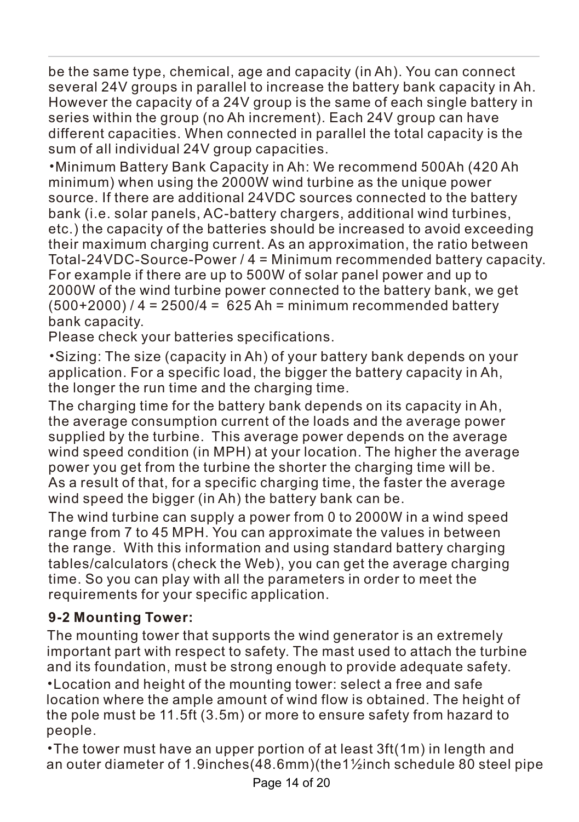be the same type, chemical, age and capacity (in Ah). You can connect several 24V groups in parallel to increase the battery bank capacity in Ah. However the capacity of a 24V group is the same of each single battery in series within the group (no Ah increment). Each 24V group can have different capacities. When connected in parallel the total capacity is the sum of all individual 24V group capacities.

•Minimum Battery Bank Capacity in Ah: We recommend 500Ah (420 Ah minimum) when using the 2000W wind turbine as the unique power source. If there are additional 24VDC sources connected to the battery bank (i.e. solar panels, AC-battery chargers, additional wind turbines, etc.) the capacity of the batteries should be increased to avoid exceeding their maximum charging current. As an approximation, the ratio between Total-24VDC-Source-Power / 4 = Minimum recommended battery capacity. For example if there are up to 500W of solar panel power and up to 2000W of the wind turbine power connected to the battery bank, we get  $(500+2000)$  / 4 = 2500/4 = 625 Ah = minimum recommended battery bank capacity.

Please check your batteries specifications.

•Sizing: The size (capacity in Ah) of your battery bank depends on your application. For a specific load, the bigger the battery capacity in Ah, the longer the run time and the charging time.

The charging time for the battery bank depends on its capacity in Ah, the average consumption current of the loads and the average power supplied by the turbine. This average power depends on the average wind speed condition (in MPH) at your location. The higher the average power you get from the turbine the shorter the charging time will be. As a result of that, for a specific charging time, the faster the average wind speed the bigger (in Ah) the battery bank can be.

The wind turbine can supply a power from 0 to 2000W in a wind speed range from 7 to 45 MPH. You can approximate the values in between the range. With this information and using standard battery charging tables/calculators (check the Web), you can get the average charging time. So you can play with all the parameters in order to meet the requirements for your specific application.

### **9-2 Mounting Tower:**

The mounting tower that supports the wind generator is an extremely important part with respect to safety. The mast used to attach the turbine and its foundation, must be strong enough to provide adequate safety. •Location and height of the mounting tower: select a free and safe location where the ample amount of wind flow is obtained. The height of the pole must be 11.5ft (3.5m) or more to ensure safety from hazard to people.

•The tower must have an upper portion of at least 3ft(1m) in length and an outer diameter of 1.9inches(48.6mm)(the1½inch schedule 80 steel pipe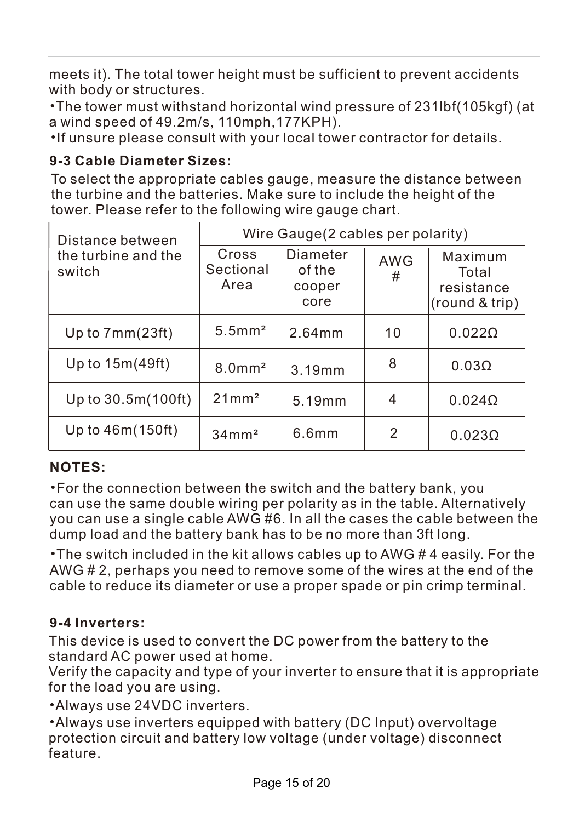meets it). The total tower height must be sufficient to prevent accidents with body or structures.

•The tower must withstand horizontal wind pressure of 231lbf(105kgf) (at a wind speed of 49.2m/s, 110mph,177KPH).

•If unsure please consult with your local tower contractor for details.

### **9-3 Cable Diameter Sizes:**

To select the appropriate cables gauge, measure the distance between the turbine and the batteries. Make sure to include the height of the tower. Please refer to the following wire gauge chart.

| Distance between              | Wire Gauge (2 cables per polarity) |                                      |                 |                                                  |
|-------------------------------|------------------------------------|--------------------------------------|-----------------|--------------------------------------------------|
| the turbine and the<br>switch | Cross<br>Sectional<br>Area         | Diameter<br>of the<br>cooper<br>core | <b>AWG</b><br># | Maximum<br>Total<br>resistance<br>(round & trip) |
| Up to 7mm(23ft)               | $5.5$ mm <sup>2</sup>              | $2.64$ mm                            | 10              | $0.022\Omega$                                    |
| Up to 15m(49ft)               | $8.0$ mm <sup>2</sup>              | 3.19mm                               | 8               | $0.03\Omega$                                     |
| Up to $30.5m(100ft)$          | 21mm <sup>2</sup>                  | 5.19mm                               | 4               | $0.024\Omega$                                    |
| Up to $46m(150ft)$            | $34$ mm <sup>2</sup>               | 6.6mm                                | 2               | $0.023\Omega$                                    |

### **NOTES:**

•For the connection between the switch and the battery bank, you can use the same double wiring per polarity as in the table. Alternatively you can use a single cable AWG #6. In all the cases the cable between the dump load and the battery bank has to be no more than 3ft long.

•The switch included in the kit allows cables up to AWG # 4 easily. For the AWG # 2, perhaps you need to remove some of the wires at the end of the cable to reduce its diameter or use a proper spade or pin crimp terminal.

### **9-4 Inverters:**

This device is used to convert the DC power from the battery to the standard AC power used at home.

Verify the capacity and type of your inverter to ensure that it is appropriate for the load you are using.

•Always use 24VDC inverters.

•Always use inverters equipped with battery (DC Input) overvoltage protection circuit and battery low voltage (under voltage) disconnect feature.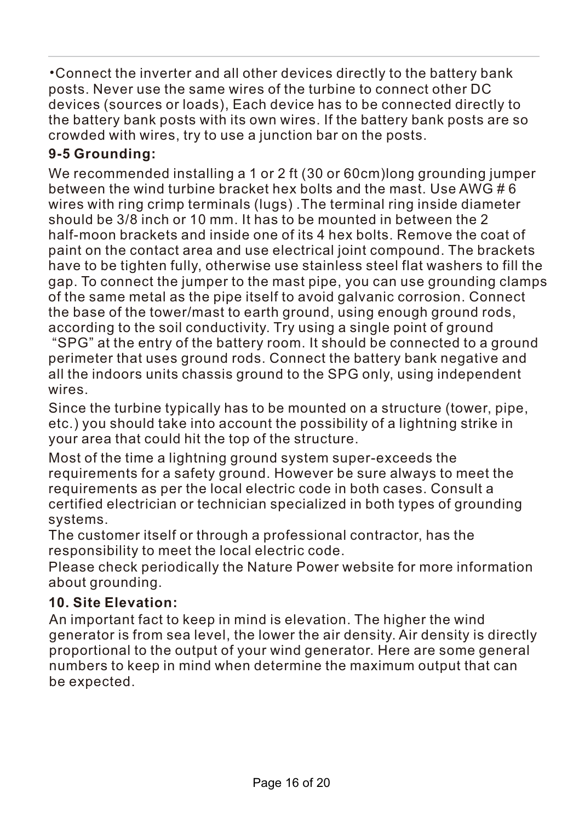•Connect the inverter and all other devices directly to the battery bank posts. Never use the same wires of the turbine to connect other DC devices (sources or loads), Each device has to be connected directly to the battery bank posts with its own wires. If the battery bank posts are so crowded with wires, try to use a junction bar on the posts.

### **9-5 Grounding:**

We recommended installing a 1 or 2 ft (30 or 60cm)long grounding jumper between the wind turbine bracket hex bolts and the mast. Use AWG # 6 wires with ring crimp terminals (lugs) .The terminal ring inside diameter should be 3/8 inch or 10 mm. It has to be mounted in between the 2 half-moon brackets and inside one of its 4 hex bolts. Remove the coat of paint on the contact area and use electrical joint compound. The brackets have to be tighten fully, otherwise use stainless steel flat washers to fill the gap. To connect the jumper to the mast pipe, you can use grounding clamps of the same metal as the pipe itself to avoid galvanic corrosion. Connect the base of the tower/mast to earth ground, using enough ground rods, according to the soil conductivity. Try using a single point of ground

 "SPG" at the entry of the battery room. It should be connected to a ground perimeter that uses ground rods. Connect the battery bank negative and all the indoors units chassis ground to the SPG only, using independent wires.

Since the turbine typically has to be mounted on a structure (tower, pipe, etc.) you should take into account the possibility of a lightning strike in your area that could hit the top of the structure.

Most of the time a lightning ground system super-exceeds the requirements for a safety ground. However be sure always to meet the requirements as per the local electric code in both cases. Consult a certified electrician or technician specialized in both types of grounding systems.

The customer itself or through a professional contractor, has the responsibility to meet the local electric code.

Please check periodically the Nature Power website for more information about grounding.

### **10. Site Elevation:**

An important fact to keep in mind is elevation. The higher the wind generator is from sea level, the lower the air density. Air density is directly proportional to the output of your wind generator. Here are some general numbers to keep in mind when determine the maximum output that can be expected.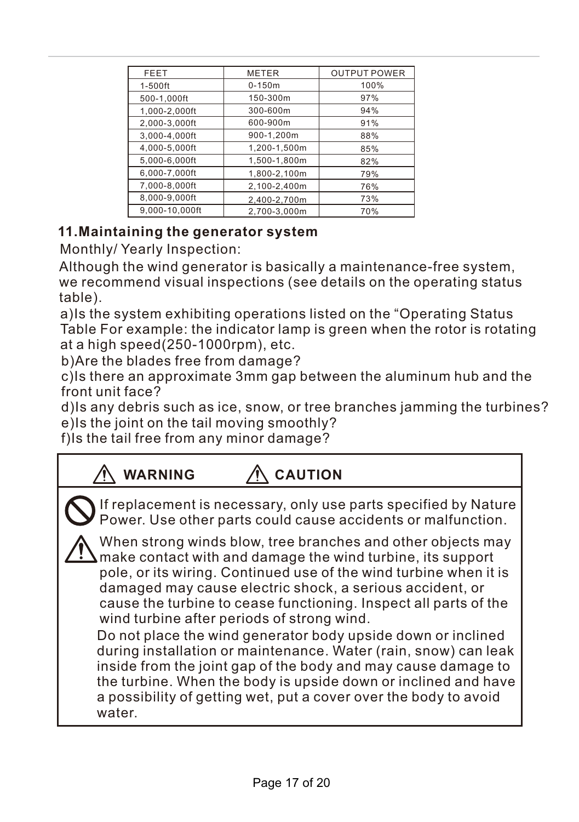| <b>FEET</b>    | <b>METER</b> | <b>OUTPUT POWER</b> |
|----------------|--------------|---------------------|
| 1-500ft        | $0 - 150m$   | 100%                |
| 500-1,000ft    | 150-300m     | 97%                 |
| 1,000-2,000ft  | 300-600m     | 94%                 |
| 2,000-3,000ft  | 600-900m     | 91%                 |
| 3,000-4,000ft  | 900-1.200m   | 88%                 |
| 4,000-5,000ft  | 1,200-1,500m | 85%                 |
| 5.000-6.000ft  | 1,500-1,800m | 82%                 |
| 6.000-7.000ft  | 1.800-2.100m | 79%                 |
| 7,000-8,000ft  | 2,100-2,400m | 76%                 |
| 8,000-9,000ft  | 2,400-2,700m | 73%                 |
| 9.000-10.000ft | 2.700-3.000m | 70%                 |

### **11.Maintaining the generator system**

Monthly/ Yearly Inspection:

Although the wind generator is basically a maintenance-free system, we recommend visual inspections (see details on the operating status table).

a)Is the system exhibiting operations listed on the "Operating Status Table For example: the indicator lamp is green when the rotor is rotating at a high speed(250-1000rpm), etc.

b)Are the blades free from damage?

c)Is there an approximate 3mm gap between the aluminum hub and the front unit face?

d)Is any debris such as ice, snow, or tree branches jamming the turbines? e)Is the joint on the tail moving smoothly?

f)Is the tail free from any minor damage?

| WARNING<br><b>CAUTION</b>                                                                                                                                                                                                                                                                                                                                                                                                                                                                                                                                                                                                                                                                                                               |
|-----------------------------------------------------------------------------------------------------------------------------------------------------------------------------------------------------------------------------------------------------------------------------------------------------------------------------------------------------------------------------------------------------------------------------------------------------------------------------------------------------------------------------------------------------------------------------------------------------------------------------------------------------------------------------------------------------------------------------------------|
| If replacement is necessary, only use parts specified by Nature<br>Power. Use other parts could cause accidents or malfunction.                                                                                                                                                                                                                                                                                                                                                                                                                                                                                                                                                                                                         |
| When strong winds blow, tree branches and other objects may<br>$\Box$ make contact with and damage the wind turbine, its support<br>pole, or its wiring. Continued use of the wind turbine when it is<br>damaged may cause electric shock, a serious accident, or<br>cause the turbine to cease functioning. Inspect all parts of the<br>wind turbine after periods of strong wind.<br>Do not place the wind generator body upside down or inclined<br>during installation or maintenance. Water (rain, snow) can leak<br>inside from the joint gap of the body and may cause damage to<br>the turbine. When the body is upside down or inclined and have<br>a possibility of getting wet, put a cover over the body to avoid<br>water. |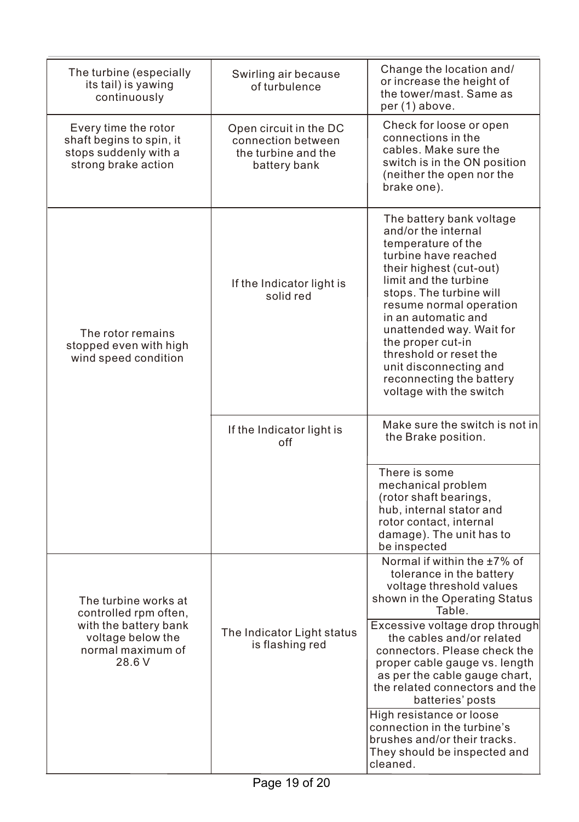| The turbine (especially<br>its tail) is yawing<br>continuously                                   | Swirling air because<br>of turbulence                                               | Change the location and/<br>or increase the height of<br>the tower/mast. Same as<br>per (1) above.                                                                                                                                                                                                                                                                                         |
|--------------------------------------------------------------------------------------------------|-------------------------------------------------------------------------------------|--------------------------------------------------------------------------------------------------------------------------------------------------------------------------------------------------------------------------------------------------------------------------------------------------------------------------------------------------------------------------------------------|
| Every time the rotor<br>shaft begins to spin, it<br>stops suddenly with a<br>strong brake action | Open circuit in the DC<br>connection between<br>the turbine and the<br>battery bank | Check for loose or open<br>connections in the<br>cables. Make sure the<br>switch is in the ON position<br>(neither the open nor the<br>brake one).                                                                                                                                                                                                                                         |
| The rotor remains<br>stopped even with high<br>wind speed condition                              | If the Indicator light is<br>solid red                                              | The battery bank voltage<br>and/or the internal<br>temperature of the<br>turbine have reached<br>their highest (cut-out)<br>limit and the turbine<br>stops. The turbine will<br>resume normal operation<br>in an automatic and<br>unattended way. Wait for<br>the proper cut-in<br>threshold or reset the<br>unit disconnecting and<br>reconnecting the battery<br>voltage with the switch |
|                                                                                                  | If the Indicator light is<br>off                                                    | Make sure the switch is not in<br>the Brake position.                                                                                                                                                                                                                                                                                                                                      |
|                                                                                                  |                                                                                     | There is some<br>mechanical problem<br>(rotor shaft bearings,<br>hub, internal stator and<br>rotor contact, internal<br>damage). The unit has to<br>be inspected                                                                                                                                                                                                                           |
| The turbine works at<br>controlled rpm often,                                                    |                                                                                     | Normal if within the ±7% of<br>tolerance in the battery<br>voltage threshold values<br>shown in the Operating Status<br>Table.                                                                                                                                                                                                                                                             |
| with the battery bank<br>voltage below the<br>normal maximum of<br>28.6 V                        | The Indicator Light status<br>is flashing red                                       | Excessive voltage drop through<br>the cables and/or related<br>connectors. Please check the<br>proper cable gauge vs. length<br>as per the cable gauge chart,<br>the related connectors and the<br>batteries' posts                                                                                                                                                                        |
|                                                                                                  |                                                                                     | High resistance or loose<br>connection in the turbine's<br>brushes and/or their tracks.<br>They should be inspected and<br>cleaned.                                                                                                                                                                                                                                                        |